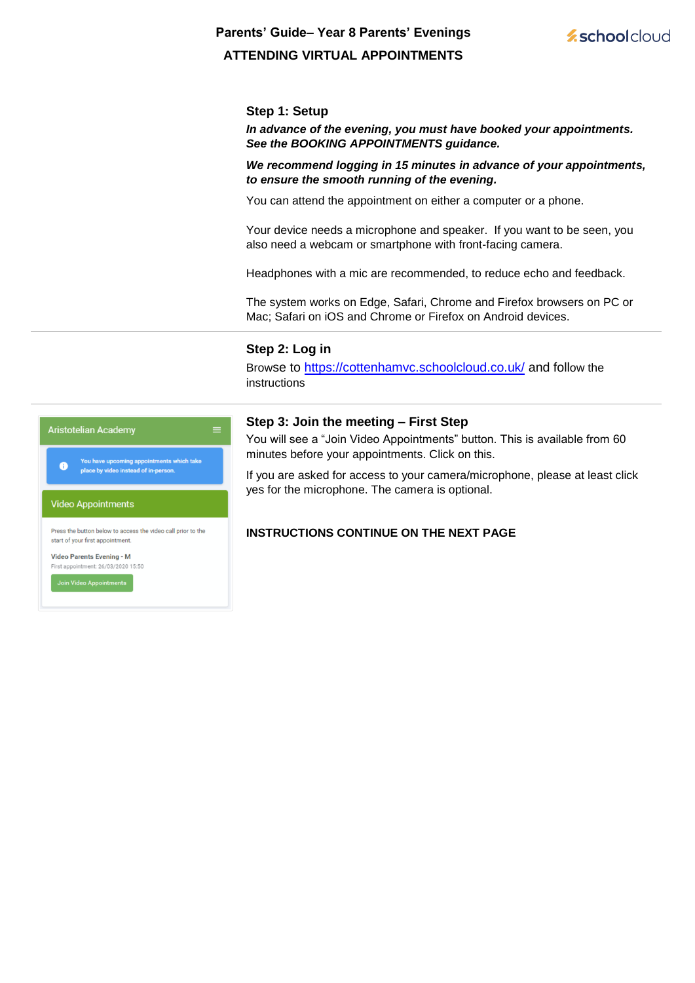# **Parents' Guide– Year 8 Parents' Evenings ATTENDING VIRTUAL APPOINTMENTS**



## **Step 1: Setup**

*In advance of the evening, you must have booked your appointments. See the BOOKING APPOINTMENTS guidance.* 

*We recommend logging in 15 minutes in advance of your appointments, to ensure the smooth running of the evening.* 

You can attend the appointment on either a computer or a phone.

Your device needs a microphone and speaker. If you want to be seen, you also need a webcam or smartphone with front-facing camera.

Headphones with a mic are recommended, to reduce echo and feedback.

The system works on Edge, Safari, Chrome and Firefox browsers on PC or Mac; Safari on iOS and Chrome or Firefox on Android devices.

#### **Step 2: Log in**

Browse to https://cottenhamvc.schoolcloud.co.uk/ and follow the instructions



You will see a "Join Video Appointments" button. This is available from 60 minutes before your appointments. Click on this.

If you are asked for access to your camera/microphone, please at least click yes for the microphone. The camera is optional.

# **INSTRUCTIONS CONTINUE ON THE NEXT PAGE**